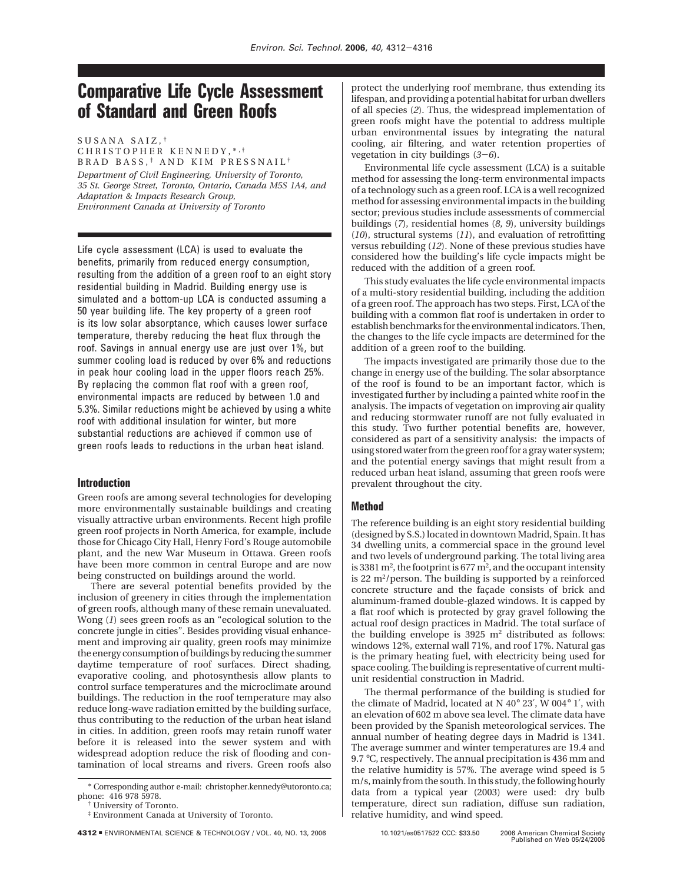# **Comparative Life Cycle Assessment of Standard and Green Roofs**

SUSANA SAIZ, † CHRISTOPHER KENNEDY,\* , † BRAD BASS, ‡ AND KIM PRESSNAIL † *Department of Civil Engineering, University of Toronto, 35 St. George Street, Toronto, Ontario, Canada M5S 1A4, and Adaptation & Impacts Research Group, Environment Canada at University of Toronto*

Life cycle assessment (LCA) is used to evaluate the benefits, primarily from reduced energy consumption, resulting from the addition of a green roof to an eight story residential building in Madrid. Building energy use is simulated and a bottom-up LCA is conducted assuming a 50 year building life. The key property of a green roof is its low solar absorptance, which causes lower surface temperature, thereby reducing the heat flux through the roof. Savings in annual energy use are just over 1%, but summer cooling load is reduced by over 6% and reductions in peak hour cooling load in the upper floors reach 25%. By replacing the common flat roof with a green roof, environmental impacts are reduced by between 1.0 and 5.3%. Similar reductions might be achieved by using a white roof with additional insulation for winter, but more substantial reductions are achieved if common use of green roofs leads to reductions in the urban heat island.

## **Introduction**

Green roofs are among several technologies for developing more environmentally sustainable buildings and creating visually attractive urban environments. Recent high profile green roof projects in North America, for example, include those for Chicago City Hall, Henry Ford's Rouge automobile plant, and the new War Museum in Ottawa. Green roofs have been more common in central Europe and are now being constructed on buildings around the world.

There are several potential benefits provided by the inclusion of greenery in cities through the implementation of green roofs, although many of these remain unevaluated. Wong (*1*) sees green roofs as an "ecological solution to the concrete jungle in cities". Besides providing visual enhancement and improving air quality, green roofs may minimize the energy consumption of buildings by reducing the summer daytime temperature of roof surfaces. Direct shading, evaporative cooling, and photosynthesis allow plants to control surface temperatures and the microclimate around buildings. The reduction in the roof temperature may also reduce long-wave radiation emitted by the building surface, thus contributing to the reduction of the urban heat island in cities. In addition, green roofs may retain runoff water before it is released into the sewer system and with widespread adoption reduce the risk of flooding and contamination of local streams and rivers. Green roofs also

† University of Toronto.

protect the underlying roof membrane, thus extending its lifespan, and providing a potential habitat for urban dwellers of all species (*2*). Thus, the widespread implementation of green roofs might have the potential to address multiple urban environmental issues by integrating the natural cooling, air filtering, and water retention properties of vegetation in city buildings (*3*-*6*).

Environmental life cycle assessment (LCA) is a suitable method for assessing the long-term environmental impacts of a technology such as a green roof. LCA is a well recognized method for assessing environmental impacts in the building sector; previous studies include assessments of commercial buildings (*7*), residential homes (*8*, *9*), university buildings (*10*), structural systems (*11*), and evaluation of retrofitting versus rebuilding (*12*). None of these previous studies have considered how the building's life cycle impacts might be reduced with the addition of a green roof.

This study evaluates the life cycle environmental impacts of a multi-story residential building, including the addition of a green roof. The approach has two steps. First, LCA of the building with a common flat roof is undertaken in order to establish benchmarks for the environmental indicators. Then, the changes to the life cycle impacts are determined for the addition of a green roof to the building.

The impacts investigated are primarily those due to the change in energy use of the building. The solar absorptance of the roof is found to be an important factor, which is investigated further by including a painted white roof in the analysis. The impacts of vegetation on improving air quality and reducing stormwater runoff are not fully evaluated in this study. Two further potential benefits are, however, considered as part of a sensitivity analysis: the impacts of using stored water from the green roof for a gray water system; and the potential energy savings that might result from a reduced urban heat island, assuming that green roofs were prevalent throughout the city.

## **Method**

The reference building is an eight story residential building (designed by S.S.) located in downtown Madrid, Spain. It has 34 dwelling units, a commercial space in the ground level and two levels of underground parking. The total living area is 3381 m<sup>2</sup>, the footprint is 677 m<sup>2</sup>, and the occupant intensity is 22 m2/person. The building is supported by a reinforced concrete structure and the façade consists of brick and aluminum-framed double-glazed windows. It is capped by a flat roof which is protected by gray gravel following the actual roof design practices in Madrid. The total surface of the building envelope is  $3925 \text{ m}^2$  distributed as follows: windows 12%, external wall 71%, and roof 17%. Natural gas is the primary heating fuel, with electricity being used for space cooling. The building is representative of current multiunit residential construction in Madrid.

The thermal performance of the building is studied for the climate of Madrid, located at N 40° 23′, W 004° 1′, with an elevation of 602 m above sea level. The climate data have been provided by the Spanish meteorological services. The annual number of heating degree days in Madrid is 1341. The average summer and winter temperatures are 19.4 and 9.7 °C, respectively. The annual precipitation is 436 mm and the relative humidity is 57%. The average wind speed is 5 m/s, mainly from the south. In this study, the following hourly data from a typical year (2003) were used: dry bulb temperature, direct sun radiation, diffuse sun radiation, relative humidity, and wind speed.

<sup>\*</sup> Corresponding author e-mail: christopher.kennedy@utoronto.ca; phone: 416 978 5978.

<sup>‡</sup> Environment Canada at University of Toronto.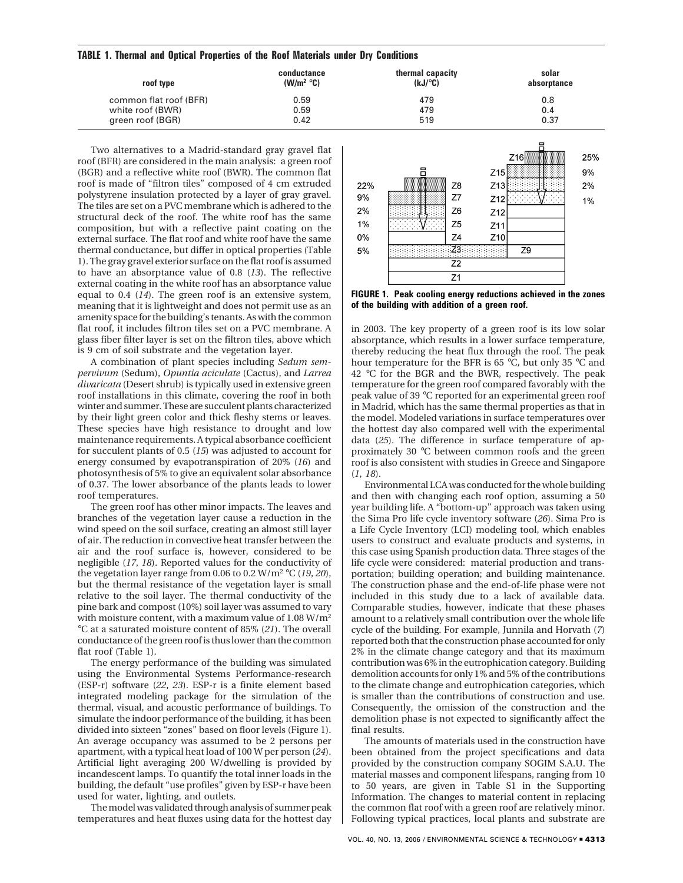|  |  |  |  | <b>TABLE 1. Thermal and Optical Properties of the Roof Materials under Dry Conditions</b> |  |  |  |  |  |  |  |
|--|--|--|--|-------------------------------------------------------------------------------------------|--|--|--|--|--|--|--|
|--|--|--|--|-------------------------------------------------------------------------------------------|--|--|--|--|--|--|--|

| roof type              | conductance<br>$(W/m^2 °C)$ | thermal capacity<br>(kJ/C) | solar<br>absorptance |
|------------------------|-----------------------------|----------------------------|----------------------|
| common flat roof (BFR) | 0.59                        | 479                        | 0.8                  |
| white roof (BWR)       | 0.59                        | 479                        | 0.4                  |
| green roof (BGR)       | 0.42                        | 519                        | 0.37                 |

Two alternatives to a Madrid-standard gray gravel flat roof (BFR) are considered in the main analysis: a green roof (BGR) and a reflective white roof (BWR). The common flat roof is made of "filtron tiles" composed of 4 cm extruded polystyrene insulation protected by a layer of gray gravel. The tiles are set on a PVC membrane which is adhered to the structural deck of the roof. The white roof has the same composition, but with a reflective paint coating on the external surface. The flat roof and white roof have the same thermal conductance, but differ in optical properties (Table 1). The gray gravel exterior surface on the flat roof is assumed to have an absorptance value of 0.8 (*13*). The reflective external coating in the white roof has an absorptance value equal to 0.4 (*14*). The green roof is an extensive system, meaning that it is lightweight and does not permit use as an amenity space for the building's tenants. As with the common flat roof, it includes filtron tiles set on a PVC membrane. A glass fiber filter layer is set on the filtron tiles, above which is 9 cm of soil substrate and the vegetation layer.

A combination of plant species including *Sedum sempervivum* (Sedum), *Opuntia aciculate* (Cactus), and *Larrea divaricata* (Desert shrub) is typically used in extensive green roof installations in this climate, covering the roof in both winter and summer. These are succulent plants characterized by their light green color and thick fleshy stems or leaves. These species have high resistance to drought and low maintenance requirements. A typical absorbance coefficient for succulent plants of 0.5 (*15*) was adjusted to account for energy consumed by evapotranspiration of 20% (*16*) and photosynthesis of 5% to give an equivalent solar absorbance of 0.37. The lower absorbance of the plants leads to lower roof temperatures.

The green roof has other minor impacts. The leaves and branches of the vegetation layer cause a reduction in the wind speed on the soil surface, creating an almost still layer of air. The reduction in convective heat transfer between the air and the roof surface is, however, considered to be negligible (*17*, *18*). Reported values for the conductivity of the vegetation layer range from 0.06 to 0.2 W/m2 °C (*19*, *20*), but the thermal resistance of the vegetation layer is small relative to the soil layer. The thermal conductivity of the pine bark and compost (10%) soil layer was assumed to vary with moisture content, with a maximum value of 1.08 W/m<sup>2</sup> °C at a saturated moisture content of 85% (*21*). The overall conductance of the green roof is thus lower than the common flat roof (Table 1).

The energy performance of the building was simulated using the Environmental Systems Performance-research (ESP-r) software (*22*, *23*). ESP-r is a finite element based integrated modeling package for the simulation of the thermal, visual, and acoustic performance of buildings. To simulate the indoor performance of the building, it has been divided into sixteen "zones" based on floor levels (Figure 1). An average occupancy was assumed to be 2 persons per apartment, with a typical heat load of 100 W per person (*24*). Artificial light averaging 200 W/dwelling is provided by incandescent lamps. To quantify the total inner loads in the building, the default "use profiles" given by ESP-r have been used for water, lighting, and outlets.

The model was validated through analysis of summer peak temperatures and heat fluxes using data for the hottest day



**FIGURE 1. Peak cooling energy reductions achieved in the zones of the building with addition of a green roof.**

in 2003. The key property of a green roof is its low solar absorptance, which results in a lower surface temperature, thereby reducing the heat flux through the roof. The peak hour temperature for the BFR is 65 °C, but only 35 °C and 42 °C for the BGR and the BWR, respectively. The peak temperature for the green roof compared favorably with the peak value of 39 °C reported for an experimental green roof in Madrid, which has the same thermal properties as that in the model. Modeled variations in surface temperatures over the hottest day also compared well with the experimental data (*25*). The difference in surface temperature of approximately 30 °C between common roofs and the green roof is also consistent with studies in Greece and Singapore (*1*, *18*).

Environmental LCA was conducted for the whole building and then with changing each roof option, assuming a 50 year building life. A "bottom-up" approach was taken using the Sima Pro life cycle inventory software (*26*). Sima Pro is a Life Cycle Inventory (LCI) modeling tool, which enables users to construct and evaluate products and systems, in this case using Spanish production data. Three stages of the life cycle were considered: material production and transportation; building operation; and building maintenance. The construction phase and the end-of-life phase were not included in this study due to a lack of available data. Comparable studies, however, indicate that these phases amount to a relatively small contribution over the whole life cycle of the building. For example, Junnila and Horvath (*7*) reported both that the construction phase accounted for only 2% in the climate change category and that its maximum contribution was 6% in the eutrophication category. Building demolition accounts for only 1% and 5% of the contributions to the climate change and eutrophication categories, which is smaller than the contributions of construction and use. Consequently, the omission of the construction and the demolition phase is not expected to significantly affect the final results.

The amounts of materials used in the construction have been obtained from the project specifications and data provided by the construction company SOGIM S.A.U. The material masses and component lifespans, ranging from 10 to 50 years, are given in Table S1 in the Supporting Information. The changes to material content in replacing the common flat roof with a green roof are relatively minor. Following typical practices, local plants and substrate are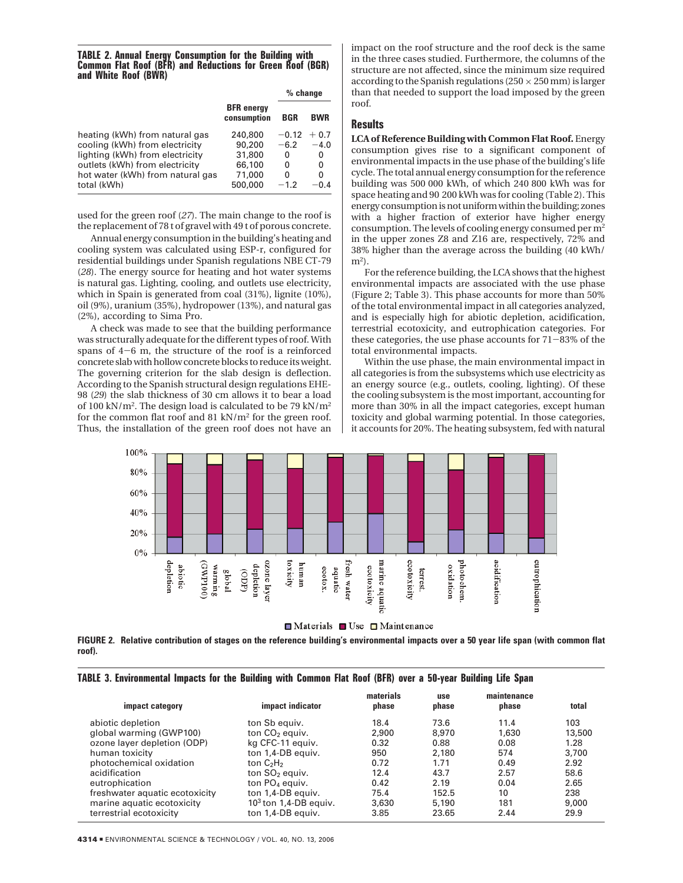### **TABLE 2. Annual Energy Consumption for the Building with Common Flat Roof (BFR) and Reductions for Green Roof (BGR) and White Roof (BWR)**

|                                  |                                  | $%$ change |            |
|----------------------------------|----------------------------------|------------|------------|
|                                  | <b>BFR</b> energy<br>consumption | <b>BGR</b> | <b>BWR</b> |
| heating (kWh) from natural gas   | 240,800                          | $-0.12$    | $+0.7$     |
| cooling (kWh) from electricity   | 90,200                           | $-6.2$     | $-4.0$     |
| lighting (kWh) from electricity  | 31,800                           | 0          | 0          |
| outlets (kWh) from electricity   | 66,100                           | 0          | 0          |
| hot water (kWh) from natural gas | 71,000                           | 0          | 0          |
| total (kWh)                      | 500,000                          | $-1.2$     | $-0.4$     |

used for the green roof (*27*). The main change to the roof is the replacement of 78 t of gravel with 49 t of porous concrete.

Annual energy consumption in the building's heating and cooling system was calculated using ESP-r, configured for residential buildings under Spanish regulations NBE CT-79 (*28*). The energy source for heating and hot water systems is natural gas. Lighting, cooling, and outlets use electricity, which in Spain is generated from coal (31%), lignite (10%), oil (9%), uranium (35%), hydropower (13%), and natural gas (2%), according to Sima Pro.

A check was made to see that the building performance was structurally adequate for the different types of roof. With spans of 4-6 m, the structure of the roof is a reinforced concrete slab with hollow concrete blocks to reduce its weight. The governing criterion for the slab design is deflection. According to the Spanish structural design regulations EHE-98 (*29*) the slab thickness of 30 cm allows it to bear a load of 100 kN/m2. The design load is calculated to be 79 kN/m2 for the common flat roof and 81 kN/m2 for the green roof. Thus, the installation of the green roof does not have an

impact on the roof structure and the roof deck is the same in the three cases studied. Furthermore, the columns of the structure are not affected, since the minimum size required according to the Spanish regulations ( $250 \times 250$  mm) is larger than that needed to support the load imposed by the green roof.

# **Results**

**LCA of Reference Building with Common Flat Roof.** Energy consumption gives rise to a significant component of environmental impacts in the use phase of the building's life cycle. The total annual energy consumption for the reference building was 500 000 kWh, of which 240 800 kWh was for space heating and 90 200 kWh was for cooling (Table 2). This energy consumption is not uniform within the building; zones with a higher fraction of exterior have higher energy consumption. The levels of cooling energy consumed per m2 in the upper zones Z8 and Z16 are, respectively, 72% and 38% higher than the average across the building (40 kWh/  $m<sup>2</sup>$ ).

For the reference building, the LCA shows that the highest environmental impacts are associated with the use phase (Figure 2; Table 3). This phase accounts for more than 50% of the total environmental impact in all categories analyzed, and is especially high for abiotic depletion, acidification, terrestrial ecotoxicity, and eutrophication categories. For these categories, the use phase accounts for 71-83% of the total environmental impacts.

Within the use phase, the main environmental impact in all categories is from the subsystems which use electricity as an energy source (e.g., outlets, cooling, lighting). Of these the cooling subsystem is the most important, accounting for more than 30% in all the impact categories, except human toxicity and global warming potential. In those categories, it accounts for 20%. The heating subsystem, fed with natural



Materials Use Maintenance

**FIGURE 2. Relative contribution of stages on the reference building's environmental impacts over a 50 year life span (with common flat roof).**

|  |  |  | TABLE 3. Environmental Impacts for the Building with Common Flat Roof (BFR) over a 50-year Building Life Span |
|--|--|--|---------------------------------------------------------------------------------------------------------------|
|  |  |  |                                                                                                               |

| impact category                | impact indicator        | materials<br>phase | use<br>phase | maintenance<br>phase | total  |
|--------------------------------|-------------------------|--------------------|--------------|----------------------|--------|
| abiotic depletion              | ton Sb equiv.           | 18.4               | 73.6         | 11.4                 | 103    |
| global warming (GWP100)        | ton $CO2$ equiv.        | 2,900              | 8,970        | 1,630                | 13,500 |
| ozone layer depletion (ODP)    | kg CFC-11 equiv.        | 0.32               | 0.88         | 0.08                 | 1.28   |
| human toxicity                 | ton 1,4-DB equiv.       | 950                | 2,180        | 574                  | 3,700  |
| photochemical oxidation        | ton $C_2H_2$            | 0.72               | 1.71         | 0.49                 | 2.92   |
| acidification                  | ton $SO2$ equiv.        | 12.4               | 43.7         | 2.57                 | 58.6   |
| eutrophication                 | ton $PO_4$ equiv.       | 0.42               | 2.19         | 0.04                 | 2.65   |
| freshwater aquatic ecotoxicity | ton 1,4-DB equiv.       | 75.4               | 152.5        | 10                   | 238    |
| marine aquatic ecotoxicity     | $103$ ton 1,4-DB equiv. | 3,630              | 5,190        | 181                  | 9,000  |
| terrestrial ecotoxicity        | ton 1,4-DB equiv.       | 3.85               | 23.65        | 2.44                 | 29.9   |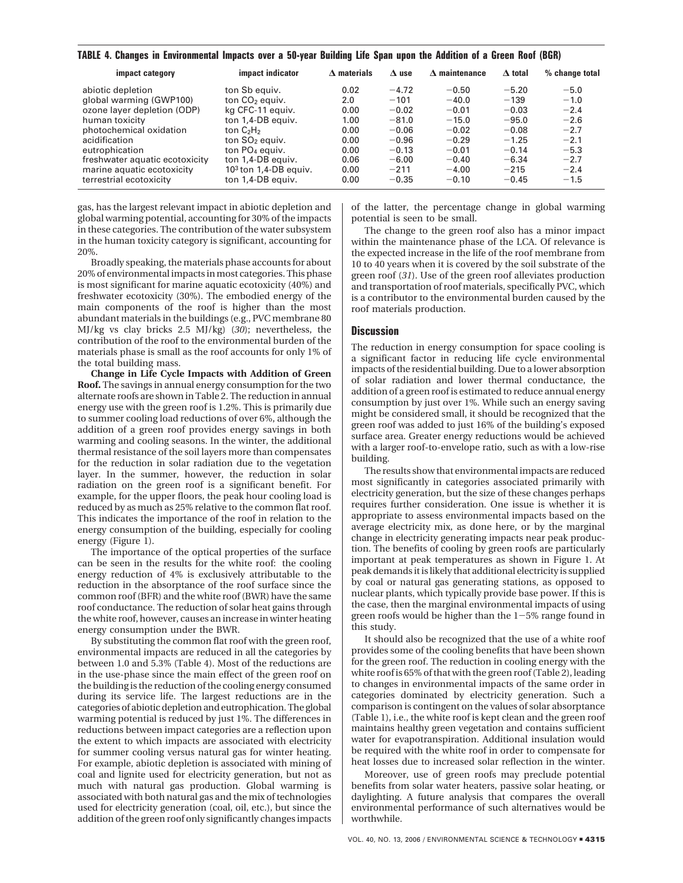|  | TABLE 4. Changes in Environmental Impacts over a 50-year Building Life Span upon the Addition of a Green Roof (BGR) |  |  |  |
|--|---------------------------------------------------------------------------------------------------------------------|--|--|--|
|  |                                                                                                                     |  |  |  |

| impact category                | impact indicator        | $\Delta$ materials | $\Lambda$ use | $\Lambda$ maintenance | $\Delta$ total | % change total |
|--------------------------------|-------------------------|--------------------|---------------|-----------------------|----------------|----------------|
| abiotic depletion              | ton Sb equiv.           | 0.02               | $-4.72$       | $-0.50$               | $-5.20$        | $-5.0$         |
| global warming (GWP100)        | ton $CO2$ equiv.        | 2.0                | $-101$        | $-40.0$               | $-139$         | $-1.0$         |
| ozone layer depletion (ODP)    | kg CFC-11 equiv.        | 0.00               | $-0.02$       | $-0.01$               | $-0.03$        | $-2.4$         |
| human toxicity                 | ton 1,4-DB equiv.       | 1.00               | $-81.0$       | $-15.0$               | $-95.0$        | $-2.6$         |
| photochemical oxidation        | ton $C_2H_2$            | 0.00               | $-0.06$       | $-0.02$               | $-0.08$        | $-2.7$         |
| acidification                  | ton $SO2$ equiv.        | 0.00               | $-0.96$       | $-0.29$               | $-1.25$        | $-2.1$         |
| eutrophication                 | ton $PO4$ equiv.        | 0.00               | $-0.13$       | $-0.01$               | $-0.14$        | $-5.3$         |
| freshwater aquatic ecotoxicity | ton 1,4-DB equiv.       | 0.06               | $-6.00$       | $-0.40$               | $-6.34$        | $-2.7$         |
| marine aquatic ecotoxicity     | $103$ ton 1,4-DB equiv. | 0.00               | $-211$        | $-4.00$               | $-215$         | $-2.4$         |
| terrestrial ecotoxicity        | ton 1.4-DB equiv.       | 0.00               | $-0.35$       | $-0.10$               | $-0.45$        | $-1.5$         |

gas, has the largest relevant impact in abiotic depletion and global warming potential, accounting for 30% of the impacts in these categories. The contribution of the water subsystem in the human toxicity category is significant, accounting for 20%.

Broadly speaking, the materials phase accounts for about 20% of environmental impacts in most categories. This phase is most significant for marine aquatic ecotoxicity (40%) and freshwater ecotoxicity (30%). The embodied energy of the main components of the roof is higher than the most abundant materials in the buildings (e.g., PVC membrane 80 MJ/kg vs clay bricks 2.5 MJ/kg) (*30*); nevertheless, the contribution of the roof to the environmental burden of the materials phase is small as the roof accounts for only 1% of the total building mass.

**Change in Life Cycle Impacts with Addition of Green Roof.** The savings in annual energy consumption for the two alternate roofs are shown in Table 2. The reduction in annual energy use with the green roof is 1.2%. This is primarily due to summer cooling load reductions of over 6%, although the addition of a green roof provides energy savings in both warming and cooling seasons. In the winter, the additional thermal resistance of the soil layers more than compensates for the reduction in solar radiation due to the vegetation layer. In the summer, however, the reduction in solar radiation on the green roof is a significant benefit. For example, for the upper floors, the peak hour cooling load is reduced by as much as 25% relative to the common flat roof. This indicates the importance of the roof in relation to the energy consumption of the building, especially for cooling energy (Figure 1).

The importance of the optical properties of the surface can be seen in the results for the white roof: the cooling energy reduction of 4% is exclusively attributable to the reduction in the absorptance of the roof surface since the common roof (BFR) and the white roof (BWR) have the same roof conductance. The reduction of solar heat gains through the white roof, however, causes an increase in winter heating energy consumption under the BWR.

By substituting the common flat roof with the green roof, environmental impacts are reduced in all the categories by between 1.0 and 5.3% (Table 4). Most of the reductions are in the use-phase since the main effect of the green roof on the building is the reduction of the cooling energy consumed during its service life. The largest reductions are in the categories of abiotic depletion and eutrophication. The global warming potential is reduced by just 1%. The differences in reductions between impact categories are a reflection upon the extent to which impacts are associated with electricity for summer cooling versus natural gas for winter heating. For example, abiotic depletion is associated with mining of coal and lignite used for electricity generation, but not as much with natural gas production. Global warming is associated with both natural gas and the mix of technologies used for electricity generation (coal, oil, etc.), but since the addition of the green roof only significantly changes impacts

of the latter, the percentage change in global warming potential is seen to be small.

The change to the green roof also has a minor impact within the maintenance phase of the LCA. Of relevance is the expected increase in the life of the roof membrane from 10 to 40 years when it is covered by the soil substrate of the green roof (*31*). Use of the green roof alleviates production and transportation of roof materials, specifically PVC, which is a contributor to the environmental burden caused by the roof materials production.

## **Discussion**

The reduction in energy consumption for space cooling is a significant factor in reducing life cycle environmental impacts of the residential building. Due to a lower absorption of solar radiation and lower thermal conductance, the addition of a green roof is estimated to reduce annual energy consumption by just over 1%. While such an energy saving might be considered small, it should be recognized that the green roof was added to just 16% of the building's exposed surface area. Greater energy reductions would be achieved with a larger roof-to-envelope ratio, such as with a low-rise building.

The results show that environmental impacts are reduced most significantly in categories associated primarily with electricity generation, but the size of these changes perhaps requires further consideration. One issue is whether it is appropriate to assess environmental impacts based on the average electricity mix, as done here, or by the marginal change in electricity generating impacts near peak production. The benefits of cooling by green roofs are particularly important at peak temperatures as shown in Figure 1. At peak demands it is likely that additional electricity is supplied by coal or natural gas generating stations, as opposed to nuclear plants, which typically provide base power. If this is the case, then the marginal environmental impacts of using green roofs would be higher than the  $1-5\%$  range found in this study.

It should also be recognized that the use of a white roof provides some of the cooling benefits that have been shown for the green roof. The reduction in cooling energy with the white roof is 65% of that with the green roof (Table 2), leading to changes in environmental impacts of the same order in categories dominated by electricity generation. Such a comparison is contingent on the values of solar absorptance (Table 1), i.e., the white roof is kept clean and the green roof maintains healthy green vegetation and contains sufficient water for evapotranspiration. Additional insulation would be required with the white roof in order to compensate for heat losses due to increased solar reflection in the winter.

Moreover, use of green roofs may preclude potential benefits from solar water heaters, passive solar heating, or daylighting. A future analysis that compares the overall environmental performance of such alternatives would be worthwhile.